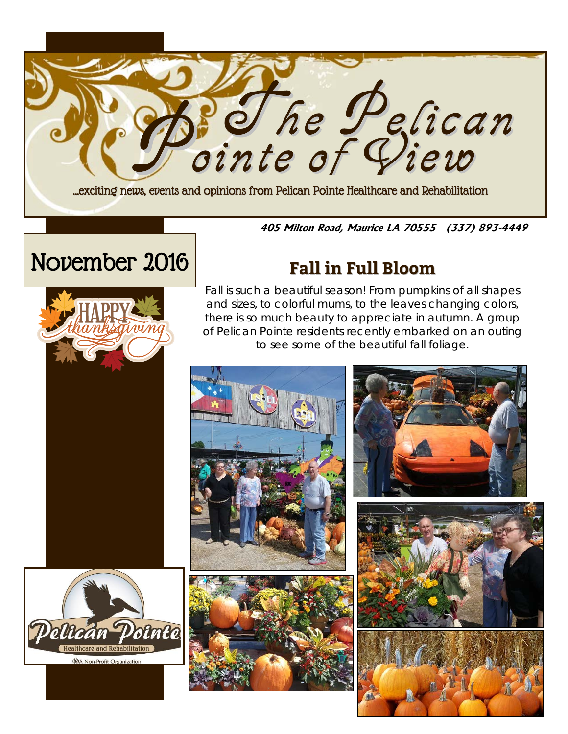

#### **405 Milton Road, Maurice LA 70555 (337) 893-4449**

# November 2016 **Fall in Full Bloom**





Fall is such a beautiful season! From pumpkins of all shapes and sizes, to colorful mums, to the leaves changing colors, there is so much beauty to appreciate in autumn. A group of Pelican Pointe residents recently embarked on an outing to see some of the beautiful fall foliage.

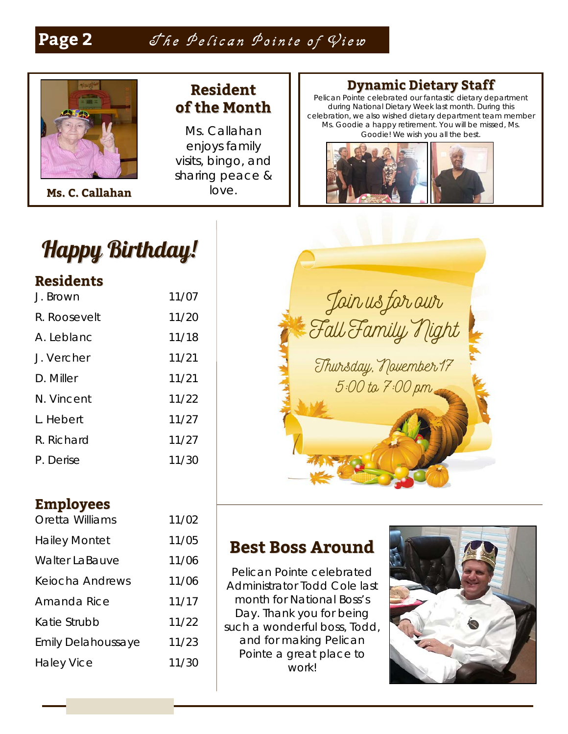## Page 2 *Jhe Pelican Pointe of View*



**Ms. C. Callahan**

### **Resident of the Month**

Ms. Callahan enjoys family visits, bingo, and sharing peace & love.

#### **Dynamic Dietary Staff**

Pelican Pointe celebrated our fantastic dietary department during National Dietary Week last month. During this celebration, we also wished dietary department team member Ms. Goodie a happy retirement. You will be missed, Ms. Goodie! We wish you all the best.





#### **Residents**

| J. Brown     | 11/07 |
|--------------|-------|
| R. Roosevelt | 11/20 |
| A. Leblanc   | 11/18 |
| J. Vercher   | 11/21 |
| D. Miller    | 11/21 |
| N. Vincent   | 11/22 |
| I Hebert     | 11/27 |
| R. Richard   | 11/27 |
| P. Derise    | 11/30 |

#### **Employees**

| Oretta Williams           | 11/02 |
|---------------------------|-------|
| <b>Hailey Montet</b>      | 11/05 |
| <b>Walter LaBauve</b>     | 11/06 |
| Keiocha Andrews           | 11/06 |
| Amanda Rice               | 11/17 |
| Katie Strubb              | 11/22 |
| <b>Emily Delahoussaye</b> | 11/23 |
| <b>Haley Vice</b>         | 11/30 |

Join us for our Fall Family Night Thursday, November 17 5:00 to 7:00 pm

### **Best Boss Around**

Pelican Pointe celebrated Administrator Todd Cole last month for National Boss's Day. Thank you for being such a wonderful boss, Todd, and for making Pelican Pointe a great place to work!

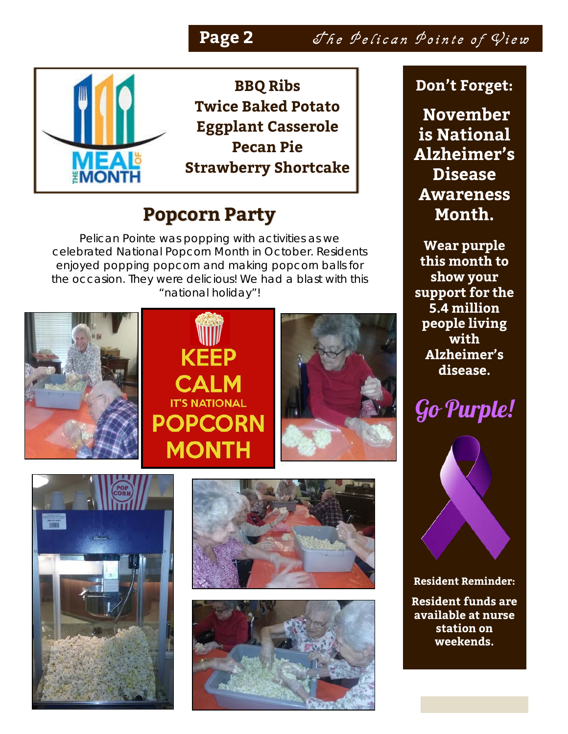## Page 2 The Pelican Pointe of View



**BBQ Ribs Twice Baked Potato Eggplant Casserole Pecan Pie Strawberry Shortcake**

# **Popcorn Party**

Pelican Pointe was *popping* with activities as we celebrated National Popcorn Month in October. Residents enjoyed popping popcorn and making popcorn balls for the occasion. They were delicious! We had a blast with this "national holiday"!









### **Don't Forget:**

**November is National Alzheimer's Disease Awareness Month.** 

**Wear purple this month to show your support for the 5.4 million people living with Alzheimer's disease.** 





**Resident Reminder: Resident funds are available at nurse station on weekends.**